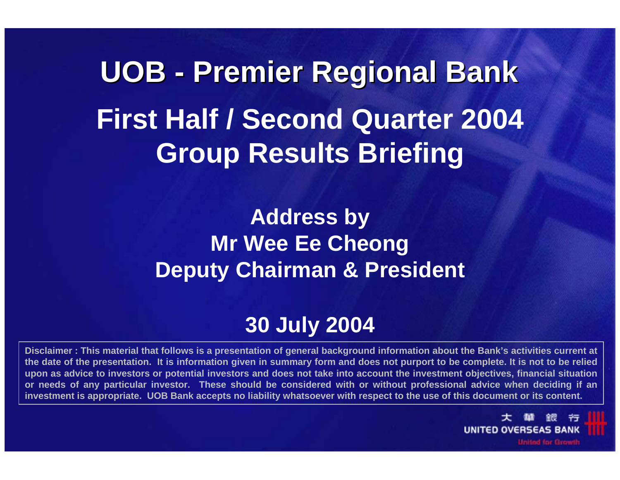**UOB - Premier Regional Bank Premier Regional Bank First Half / Second Quarter 2004 Group Results Briefing**

> **Address by Mr Wee Ee Cheong Deputy Chairman & President**

# **30 July 2004**

**Disclaimer : This material that follows is a presentation of general background information about the Bank's activities current at the date of the presentation. It is information given in summary form and does not purport to be complete. It is not to be relied upon as advice to investors or potential investors and does not take into account the investment objectives, financial situation or needs of any particular investor. These should be considered with or without professional advice when deciding if an investment is appropriate. UOB Bank accepts no liability whatsoever with respect to the use of this document or its content.**

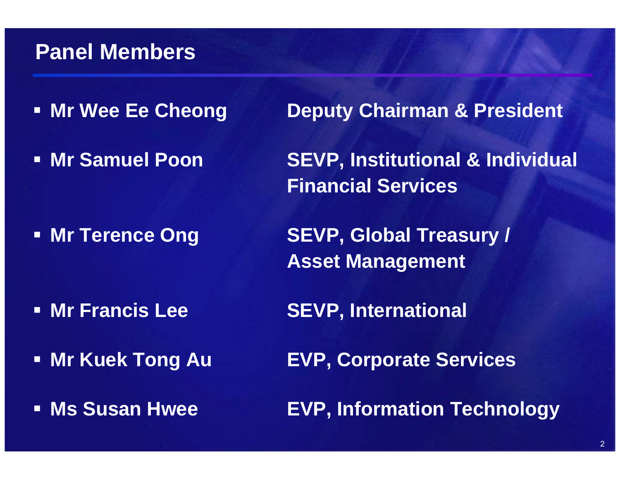# **Panel Members**

- **Mr Wee Ee Cheong**
- **Mr Samuel Poon**

• Mr Terence Ong

**Deputy Chairman & President** 

 **SEVP, Institutional & Individual Financial Services**

**SEVP, Global Treasury / Asset Management**

- **Mr Francis Lee**
- **Mr Kuek**
- **Ms Susan Hwee**
- **SEVP, International**
- **EVP, Corporate Services**

**EVP, Information Technology**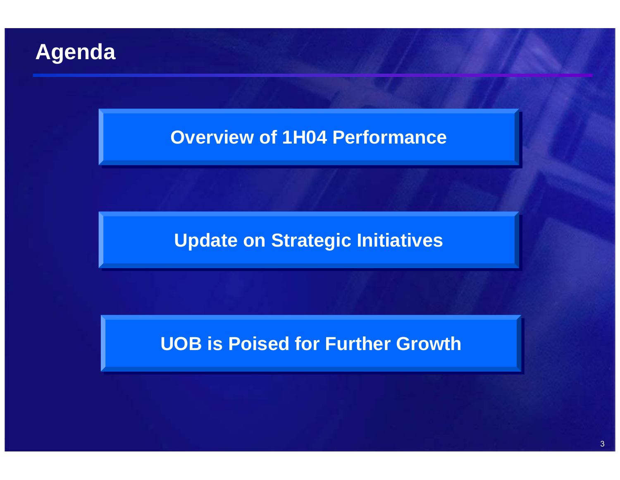# **Agenda**

### **Overview of 1H04 Performance**

#### **Update on Strategic Initiatives Update on Strategic Initiatives**

#### **UOB is Poised for Further Growth UOB is Poised for Further Growth**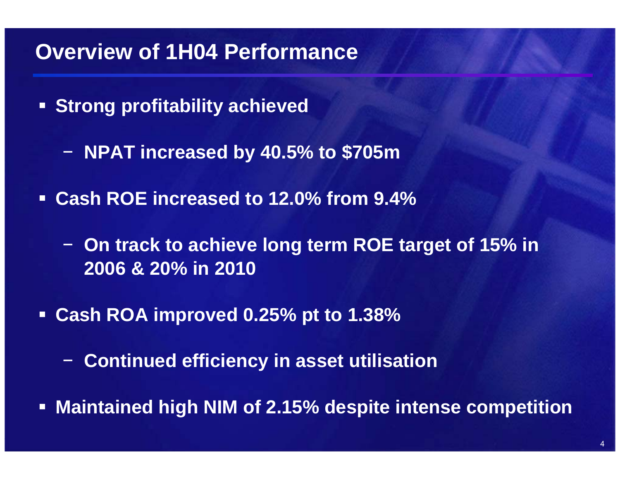# **Overview of 1H04 Performance**

- **Strong profitability achieved**
	- **NPAT increased by 40.5% to \$705m**
- **Cash ROE increased to 12.0% from 9.4%**
	- − **On track to achieve long term ROE target of 15% in 2006 & 20% in 2010**
- **Cash ROA improved 0.25% pt to 1.38%**
	- **Continued efficiency in asset utilisation**
- **Maintained high NIM of 2.15% despite intense competition**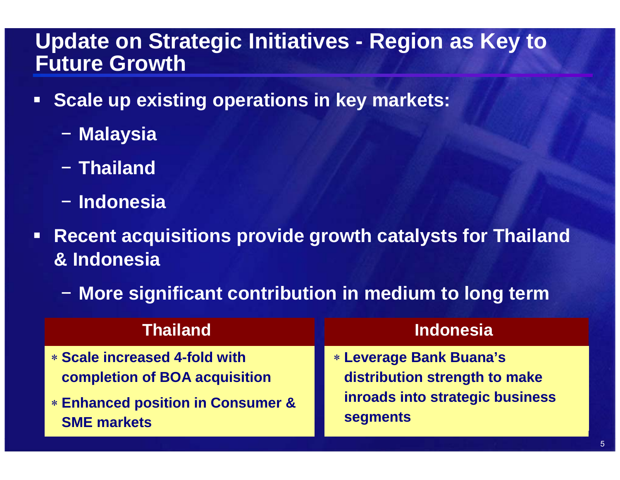### **Update on Strategic Initiatives - Region as Key to Future Growth**

- $\Box$  **Scale up existing operations in key markets:** 
	- − **Malaysia**
	- − **Thailand**
	- − **Indonesia**
- $\Box$  **Recent acquisitions provide growth catalysts for Thailand & Indonesia**
	- − **More significant contribution in medium to long term**

| <b>Thailand</b>                              | <b>Indonesia</b>                |
|----------------------------------------------|---------------------------------|
| * Scale increased 4-fold with                | <b>* Leverage Bank Buana's</b>  |
| <b>completion of BOA acquisition</b>         | distribution strength to make   |
| <b>* Enhanced position in Consumer &amp;</b> | inroads into strategic business |
| <b>SME markets</b>                           | <b>segments</b>                 |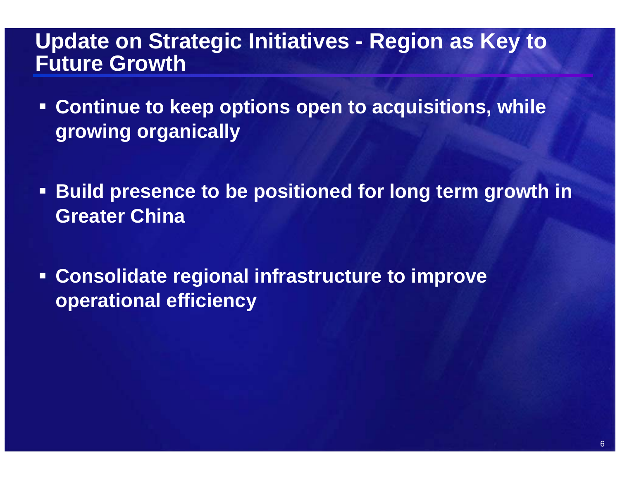### **Update on Strategic Initiatives - Region as Key to Future Growth**

- $\blacksquare$  **Continue to keep options open to acquisitions, while growing organically**
- $\Box$  **Build presence to be positioned for long term growth in Greater China**
- $\Box$  **Consolidate regional infrastructure to improve operational efficiency**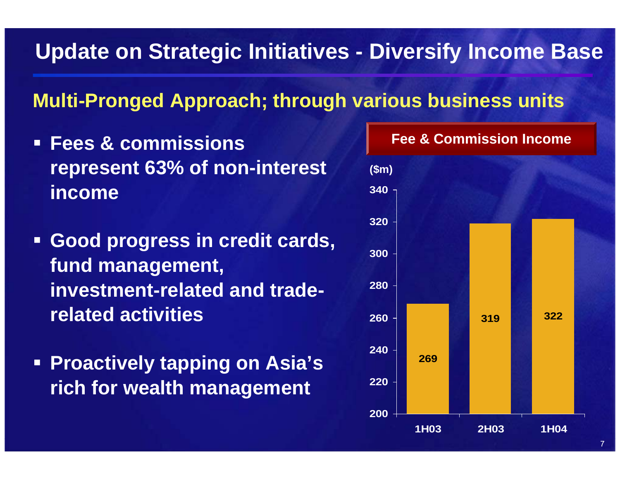# **Update on Strategic Initiatives - Diversify Income Base**

### **Multi-Pronged Approach; through various business units**

- **Fees & commissions represent 63% of non-interest income**
- **Good progress in credit cards, fund management, investment-related and traderelated activities**
- **Proactively tapping on Asia's rich for wealth management**

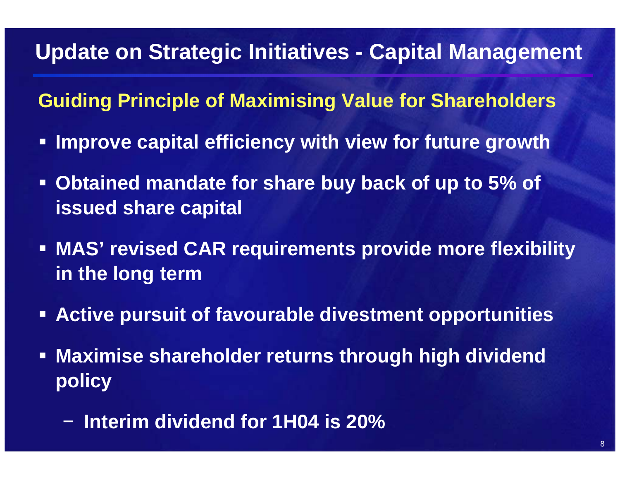# **Update on Strategic Initiatives - Capital Management**

**Guiding Principle of Maximising Value for Shareholders**

- **Improve capital efficiency with view for future growth**
- **Obtained mandate for share buy back of up to 5% of issued share capital**
- **MAS' revised CAR requirements provide more flexibility in the long term**
- **Active pursuit of favourable divestment opportunities**
- $\Box$  **Maximise shareholder returns through high dividend policy**
	- −**Interim dividend for 1H04 is 20%**